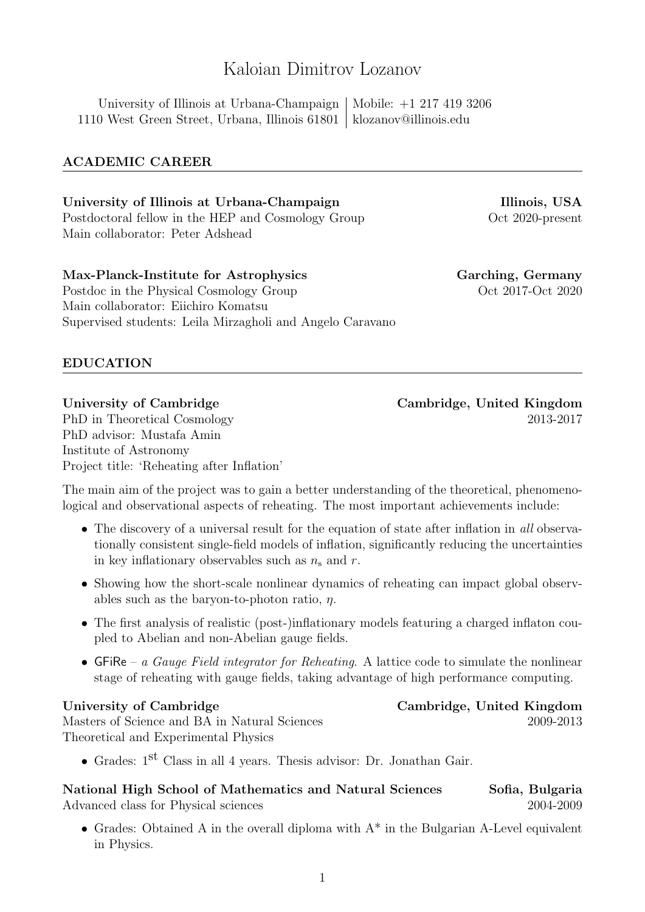# Kaloian Dimitrov Lozanov

University of Illinois at Urbana-Champaign | Mobile:  $+1$  217 419 3206 1110 West Green Street, Urbana, Illinois 61801 klozanov@illinois.edu

# ACADEMIC CAREER

# University of Illinois at Urbana-Champaign Illinois, USA Postdoctoral fellow in the HEP and Cosmology Group Oct 2020-present Main collaborator: Peter Adshead

Max-Planck-Institute for Astrophysics Garching, Germany Postdoc in the Physical Cosmology Group  $\qquad \qquad$  Oct 2017-Oct 2020 Main collaborator: Eiichiro Komatsu Supervised students: Leila Mirzagholi and Angelo Caravano

EDUCATION

University of Cambridge Cambridge, United Kingdom PhD in Theoretical Cosmology 2013-2017 PhD advisor: Mustafa Amin Institute of Astronomy Project title: 'Reheating after Inflation'

The main aim of the project was to gain a better understanding of the theoretical, phenomenological and observational aspects of reheating. The most important achievements include:

- The discovery of a universal result for the equation of state after inflation in all observationally consistent single-field models of inflation, significantly reducing the uncertainties in key inflationary observables such as  $n_s$  and r.
- Showing how the short-scale nonlinear dynamics of reheating can impact global observables such as the baryon-to-photon ratio,  $\eta$ .
- The first analysis of realistic (post-)inflationary models featuring a charged inflaton coupled to Abelian and non-Abelian gauge fields.
- GFiRe a Gauge Field integrator for Reheating. A lattice code to simulate the nonlinear stage of reheating with gauge fields, taking advantage of high performance computing.

Masters of Science and BA in Natural Sciences 2009-2013 Theoretical and Experimental Physics

• Grades: 1st Class in all 4 years. Thesis advisor: Dr. Jonathan Gair.

National High School of Mathematics and Natural Sciences Sofia, Bulgaria Advanced class for Physical sciences 2004-2009

• Grades: Obtained A in the overall diploma with  $A^*$  in the Bulgarian A-Level equivalent in Physics.

University of Cambridge Cambridge, United Kingdom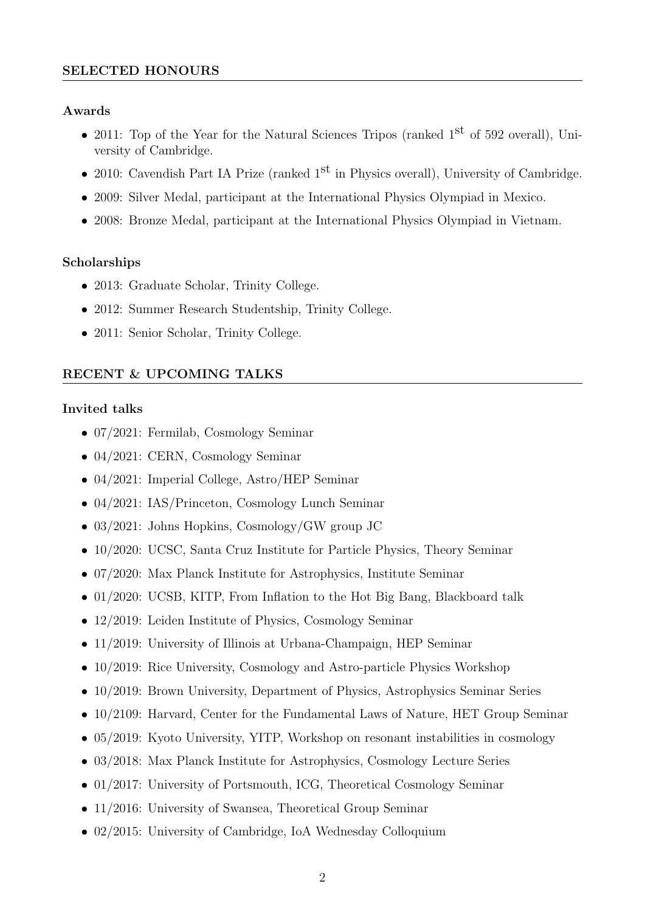## SELECTED HONOURS

## Awards

- 2011: Top of the Year for the Natural Sciences Tripos (ranked  $1<sup>st</sup>$  of 592 overall), University of Cambridge.
- 2010: Cavendish Part IA Prize (ranked  $1<sup>st</sup>$  in Physics overall), University of Cambridge.
- 2009: Silver Medal, participant at the International Physics Olympiad in Mexico.
- 2008: Bronze Medal, participant at the International Physics Olympiad in Vietnam.

# Scholarships

- 2013: Graduate Scholar, Trinity College.
- 2012: Summer Research Studentship, Trinity College.
- 2011: Senior Scholar, Trinity College.

# RECENT & UPCOMING TALKS

## Invited talks

- 07/2021: Fermilab, Cosmology Seminar
- 04/2021: CERN, Cosmology Seminar
- 04/2021: Imperial College, Astro/HEP Seminar
- 04/2021: IAS/Princeton, Cosmology Lunch Seminar
- 03/2021: Johns Hopkins, Cosmology/GW group JC
- 10/2020: UCSC, Santa Cruz Institute for Particle Physics, Theory Seminar
- 07/2020: Max Planck Institute for Astrophysics, Institute Seminar
- 01/2020: UCSB, KITP, From Inflation to the Hot Big Bang, Blackboard talk
- 12/2019: Leiden Institute of Physics, Cosmology Seminar
- 11/2019: University of Illinois at Urbana-Champaign, HEP Seminar
- 10/2019: Rice University, Cosmology and Astro-particle Physics Workshop
- 10/2019: Brown University, Department of Physics, Astrophysics Seminar Series
- 10/2109: Harvard, Center for the Fundamental Laws of Nature, HET Group Seminar
- 05/2019: Kyoto University, YITP, Workshop on resonant instabilities in cosmology
- 03/2018: Max Planck Institute for Astrophysics, Cosmology Lecture Series
- 01/2017: University of Portsmouth, ICG, Theoretical Cosmology Seminar
- 11/2016: University of Swansea, Theoretical Group Seminar
- 02/2015: University of Cambridge, IoA Wednesday Colloquium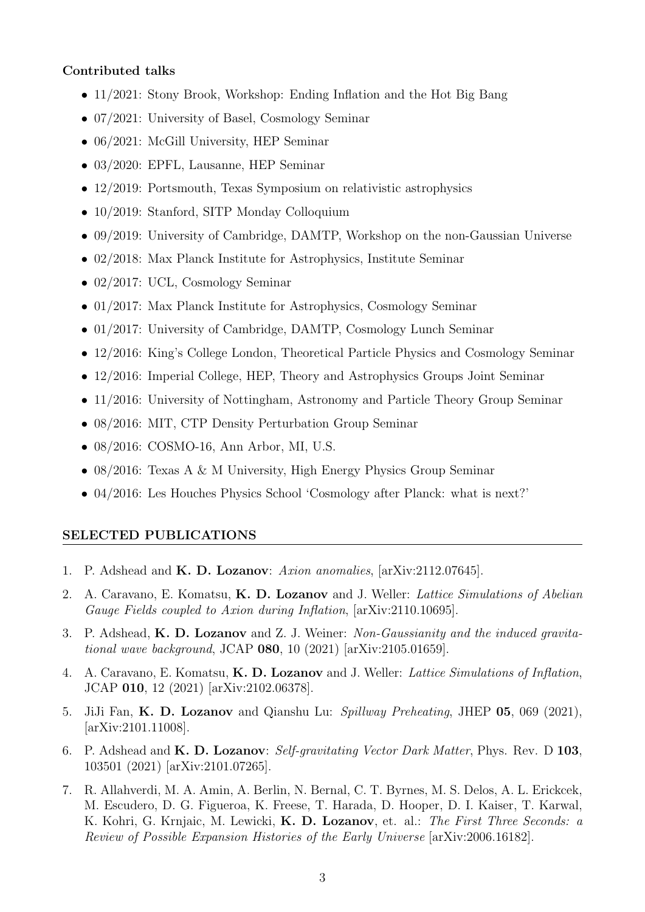## Contributed talks

- 11/2021: Stony Brook, Workshop: Ending Inflation and the Hot Big Bang
- 07/2021: University of Basel, Cosmology Seminar
- 06/2021: McGill University, HEP Seminar
- 03/2020: EPFL, Lausanne, HEP Seminar
- 12/2019: Portsmouth, Texas Symposium on relativistic astrophysics
- 10/2019: Stanford, SITP Monday Colloquium
- 09/2019: University of Cambridge, DAMTP, Workshop on the non-Gaussian Universe
- 02/2018: Max Planck Institute for Astrophysics, Institute Seminar
- 02/2017: UCL, Cosmology Seminar
- 01/2017: Max Planck Institute for Astrophysics, Cosmology Seminar
- 01/2017: University of Cambridge, DAMTP, Cosmology Lunch Seminar
- 12/2016: King's College London, Theoretical Particle Physics and Cosmology Seminar
- 12/2016: Imperial College, HEP, Theory and Astrophysics Groups Joint Seminar
- 11/2016: University of Nottingham, Astronomy and Particle Theory Group Seminar
- 08/2016: MIT, CTP Density Perturbation Group Seminar
- 08/2016: COSMO-16, Ann Arbor, MI, U.S.
- 08/2016: Texas A & M University, High Energy Physics Group Seminar
- 04/2016: Les Houches Physics School 'Cosmology after Planck: what is next?'

#### SELECTED PUBLICATIONS

- 1. P. Adshead and **K. D. Lozanov**: Axion anomalies, [arXiv:2112.07645].
- 2. A. Caravano, E. Komatsu, K. D. Lozanov and J. Weller: Lattice Simulations of Abelian Gauge Fields coupled to Axion during Inflation, [arXiv:2110.10695].
- 3. P. Adshead, K. D. Lozanov and Z. J. Weiner: Non-Gaussianity and the induced gravitational wave background, JCAP 080, 10 (2021) [arXiv:2105.01659].
- 4. A. Caravano, E. Komatsu, K. D. Lozanov and J. Weller: Lattice Simulations of Inflation, JCAP 010, 12 (2021) [arXiv:2102.06378].
- 5. JiJi Fan, K. D. Lozanov and Qianshu Lu: Spillway Preheating, JHEP 05, 069 (2021), [arXiv:2101.11008].
- 6. P. Adshead and **K. D. Lozanov**: Self-gravitating Vector Dark Matter, Phys. Rev. D 103, 103501 (2021) [arXiv:2101.07265].
- 7. R. Allahverdi, M. A. Amin, A. Berlin, N. Bernal, C. T. Byrnes, M. S. Delos, A. L. Erickcek, M. Escudero, D. G. Figueroa, K. Freese, T. Harada, D. Hooper, D. I. Kaiser, T. Karwal, K. Kohri, G. Krnjaic, M. Lewicki, K. D. Lozanov, et. al.: The First Three Seconds: a Review of Possible Expansion Histories of the Early Universe [arXiv:2006.16182].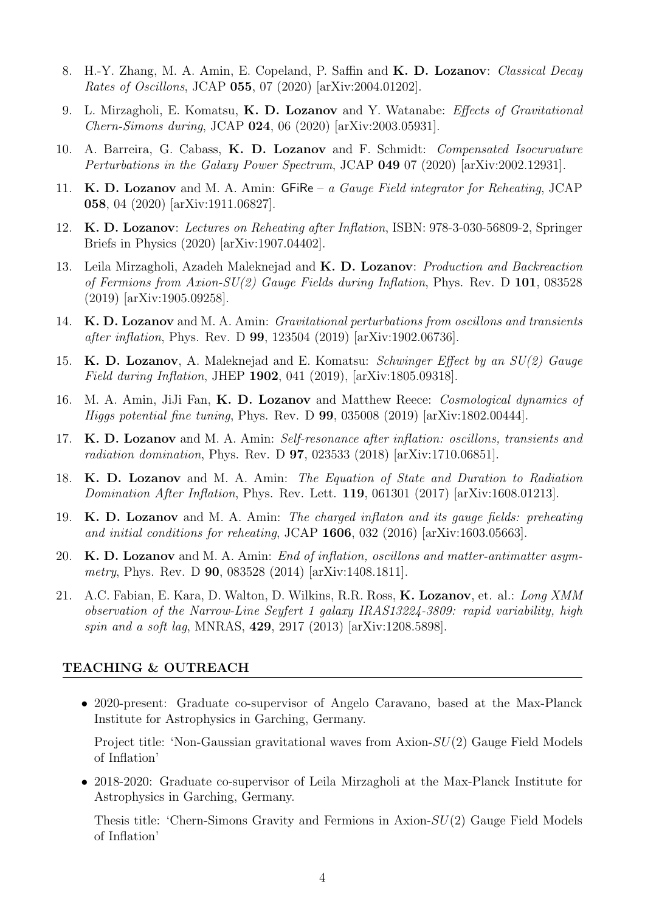- 8. H.-Y. Zhang, M. A. Amin, E. Copeland, P. Saffin and K. D. Lozanov: Classical Decay Rates of Oscillons, JCAP 055, 07 (2020) [arXiv:2004.01202].
- 9. L. Mirzagholi, E. Komatsu, K. D. Lozanov and Y. Watanabe: Effects of Gravitational Chern-Simons during, JCAP 024, 06 (2020) [arXiv:2003.05931].
- 10. A. Barreira, G. Cabass, K. D. Lozanov and F. Schmidt: Compensated Isocurvature Perturbations in the Galaxy Power Spectrum, JCAP 049 07 (2020) [arXiv:2002.12931].
- 11. K. D. Lozanov and M. A. Amin: GFiRe a Gauge Field integrator for Reheating, JCAP 058, 04 (2020) [arXiv:1911.06827].
- 12. K. D. Lozanov: Lectures on Reheating after Inflation, ISBN: 978-3-030-56809-2, Springer Briefs in Physics (2020) [arXiv:1907.04402].
- 13. Leila Mirzagholi, Azadeh Maleknejad and K. D. Lozanov: Production and Backreaction of Fermions from Axion-SU(2) Gauge Fields during Inflation, Phys. Rev. D 101, 083528 (2019) [arXiv:1905.09258].
- 14. K. D. Lozanov and M. A. Amin: *Gravitational perturbations from oscillons and transients* after inflation, Phys. Rev. D 99, 123504 (2019) [arXiv:1902.06736].
- 15. K. D. Lozanov, A. Maleknejad and E. Komatsu: Schwinger Effect by an SU(2) Gauge Field during Inflation, JHEP 1902, 041 (2019), [arXiv:1805.09318].
- 16. M. A. Amin, JiJi Fan, K. D. Lozanov and Matthew Reece: Cosmological dynamics of Higgs potential fine tuning, Phys. Rev. D 99, 035008 (2019) [arXiv:1802.00444].
- 17. K. D. Lozanov and M. A. Amin: Self-resonance after inflation: oscillons, transients and radiation domination, Phys. Rev. D 97, 023533 (2018) [arXiv:1710.06851].
- 18. K. D. Lozanov and M. A. Amin: The Equation of State and Duration to Radiation Domination After Inflation, Phys. Rev. Lett. 119, 061301 (2017) [arXiv:1608.01213].
- 19. K. D. Lozanov and M. A. Amin: The charged inflaton and its gauge fields: preheating and initial conditions for reheating, JCAP 1606, 032 (2016) [arXiv:1603.05663].
- 20. K. D. Lozanov and M. A. Amin: End of inflation, oscillons and matter-antimatter asymmetry, Phys. Rev. D **90**, 083528 (2014) [arXiv:1408.1811].
- 21. A.C. Fabian, E. Kara, D. Walton, D. Wilkins, R.R. Ross, K. Lozanov, et. al.: Long XMM observation of the Narrow-Line Seyfert 1 galaxy IRAS13224-3809: rapid variability, high spin and a soft lag, MNRAS, 429, 2917 (2013) [arXiv:1208.5898].

#### TEACHING & OUTREACH

• 2020-present: Graduate co-supervisor of Angelo Caravano, based at the Max-Planck Institute for Astrophysics in Garching, Germany.

Project title: 'Non-Gaussian gravitational waves from Axion-SU(2) Gauge Field Models of Inflation'

• 2018-2020: Graduate co-supervisor of Leila Mirzagholi at the Max-Planck Institute for Astrophysics in Garching, Germany.

Thesis title: 'Chern-Simons Gravity and Fermions in Axion-SU(2) Gauge Field Models of Inflation'